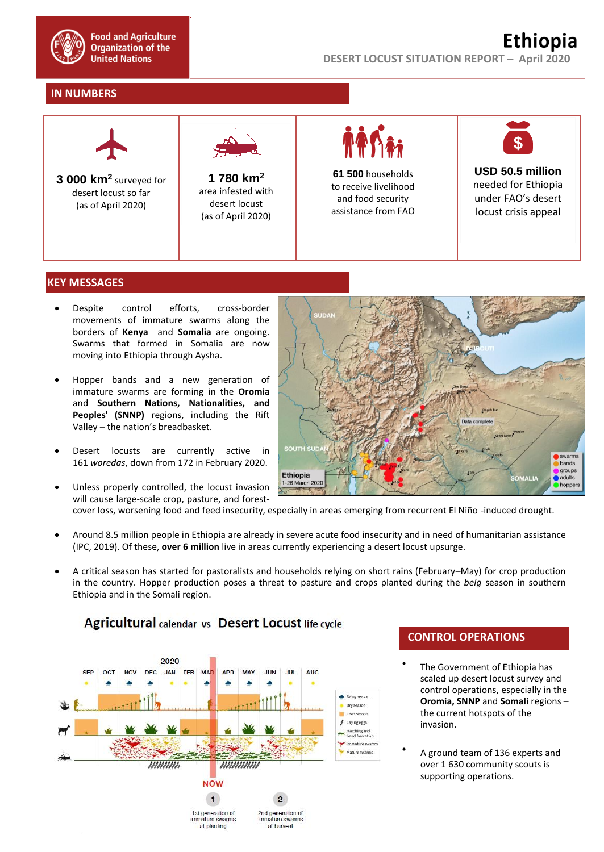

## **IN NUMBERS**



### **KEY MESSAGES**

- Despite control efforts, cross-border movements of immature swarms along the borders of **Kenya** and **Somalia** are ongoing. Swarms that formed in Somalia are now moving into Ethiopia through Aysha.
- Hopper bands and a new generation of immature swarms are forming in the **Oromia** and **Southern Nations, Nationalities, and Peoples' (SNNP)** regions, including the Rift Valley – the nation's breadbasket.
- Desert locusts are currently active in 161 *woredas*, down from 172 in February 2020.
- Unless properly controlled, the locust invasion will cause large-scale crop, pasture, and forest-



- cover loss, worsening food and feed insecurity, especially in areas emerging from recurrent El Niño -induced drought.
- Around 8.5 million people in Ethiopia are already in severe acute food insecurity and in need of humanitarian assistance (IPC, 2019). Of these, **over 6 million** live in areas currently experiencing a desert locust upsurge.
- A critical season has started for pastoralists and households relying on short rains (February–May) for crop production in the country. Hopper production poses a threat to pasture and crops planted during the *belg* season in southern Ethiopia and in the Somali region.



# **CONTROL OPERATIONS**

- $\bullet$ The Government of Ethiopia has scaled up desert locust survey and control operations, especially in the **Oromia, SNNP** and **Somali** regions – the current hotspots of the invasion.
- $\bullet$ A ground team of 136 experts and over 1 630 community scouts is supporting operations.